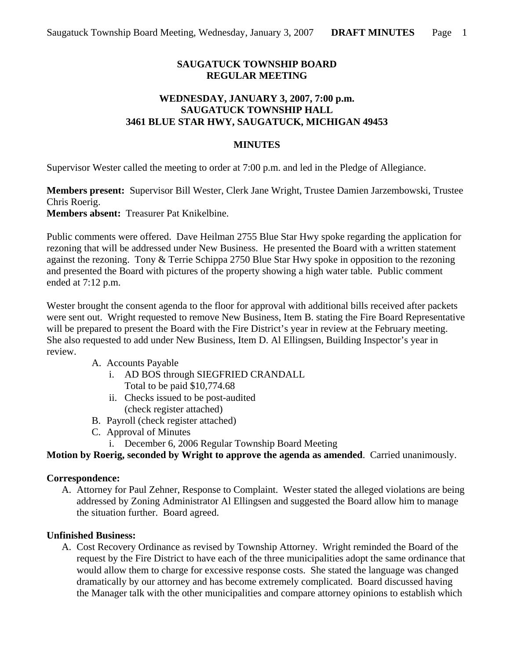# **SAUGATUCK TOWNSHIP BOARD REGULAR MEETING**

### **WEDNESDAY, JANUARY 3, 2007, 7:00 p.m. SAUGATUCK TOWNSHIP HALL 3461 BLUE STAR HWY, SAUGATUCK, MICHIGAN 49453**

### **MINUTES**

Supervisor Wester called the meeting to order at 7:00 p.m. and led in the Pledge of Allegiance.

**Members present:** Supervisor Bill Wester, Clerk Jane Wright, Trustee Damien Jarzembowski, Trustee Chris Roerig.

**Members absent:** Treasurer Pat Knikelbine.

Public comments were offered. Dave Heilman 2755 Blue Star Hwy spoke regarding the application for rezoning that will be addressed under New Business. He presented the Board with a written statement against the rezoning. Tony & Terrie Schippa 2750 Blue Star Hwy spoke in opposition to the rezoning and presented the Board with pictures of the property showing a high water table. Public comment ended at 7:12 p.m.

Wester brought the consent agenda to the floor for approval with additional bills received after packets were sent out. Wright requested to remove New Business, Item B. stating the Fire Board Representative will be prepared to present the Board with the Fire District's year in review at the February meeting. She also requested to add under New Business, Item D. Al Ellingsen, Building Inspector's year in review.

### A. Accounts Payable

- i. AD BOS through SIEGFRIED CRANDALL Total to be paid \$10,774.68
- ii. Checks issued to be post-audited (check register attached)
- B. Payroll (check register attached)
- C. Approval of Minutes
	- i. December 6, 2006 Regular Township Board Meeting

**Motion by Roerig, seconded by Wright to approve the agenda as amended**. Carried unanimously.

### **Correspondence:**

A. Attorney for Paul Zehner, Response to Complaint. Wester stated the alleged violations are being addressed by Zoning Administrator Al Ellingsen and suggested the Board allow him to manage the situation further. Board agreed.

# **Unfinished Business:**

A. Cost Recovery Ordinance as revised by Township Attorney. Wright reminded the Board of the request by the Fire District to have each of the three municipalities adopt the same ordinance that would allow them to charge for excessive response costs. She stated the language was changed dramatically by our attorney and has become extremely complicated. Board discussed having the Manager talk with the other municipalities and compare attorney opinions to establish which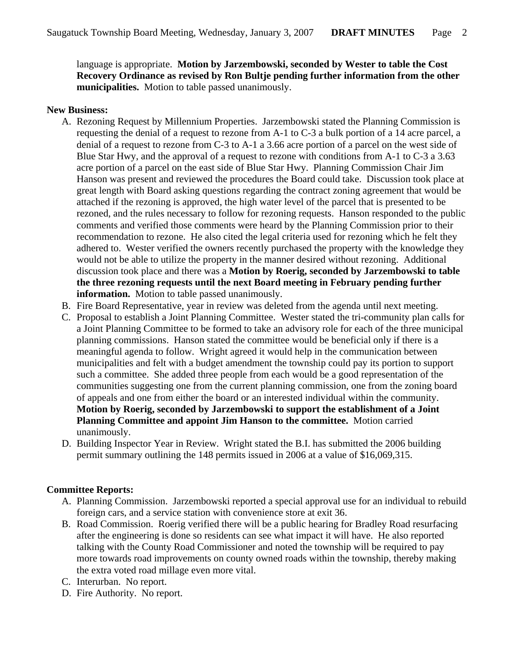language is appropriate. **Motion by Jarzembowski, seconded by Wester to table the Cost Recovery Ordinance as revised by Ron Bultje pending further information from the other municipalities.** Motion to table passed unanimously.

#### **New Business:**

- A. Rezoning Request by Millennium Properties. Jarzembowski stated the Planning Commission is requesting the denial of a request to rezone from A-1 to C-3 a bulk portion of a 14 acre parcel, a denial of a request to rezone from C-3 to A-1 a 3.66 acre portion of a parcel on the west side of Blue Star Hwy, and the approval of a request to rezone with conditions from A-1 to C-3 a 3.63 acre portion of a parcel on the east side of Blue Star Hwy. Planning Commission Chair Jim Hanson was present and reviewed the procedures the Board could take. Discussion took place at great length with Board asking questions regarding the contract zoning agreement that would be attached if the rezoning is approved, the high water level of the parcel that is presented to be rezoned, and the rules necessary to follow for rezoning requests. Hanson responded to the public comments and verified those comments were heard by the Planning Commission prior to their recommendation to rezone. He also cited the legal criteria used for rezoning which he felt they adhered to. Wester verified the owners recently purchased the property with the knowledge they would not be able to utilize the property in the manner desired without rezoning. Additional discussion took place and there was a **Motion by Roerig, seconded by Jarzembowski to table the three rezoning requests until the next Board meeting in February pending further information.** Motion to table passed unanimously.
- B. Fire Board Representative, year in review was deleted from the agenda until next meeting.
- C. Proposal to establish a Joint Planning Committee. Wester stated the tri-community plan calls for a Joint Planning Committee to be formed to take an advisory role for each of the three municipal planning commissions. Hanson stated the committee would be beneficial only if there is a meaningful agenda to follow. Wright agreed it would help in the communication between municipalities and felt with a budget amendment the township could pay its portion to support such a committee. She added three people from each would be a good representation of the communities suggesting one from the current planning commission, one from the zoning board of appeals and one from either the board or an interested individual within the community. **Motion by Roerig, seconded by Jarzembowski to support the establishment of a Joint Planning Committee and appoint Jim Hanson to the committee.** Motion carried unanimously.
- D. Building Inspector Year in Review. Wright stated the B.I. has submitted the 2006 building permit summary outlining the 148 permits issued in 2006 at a value of \$16,069,315.

### **Committee Reports:**

- A. Planning Commission. Jarzembowski reported a special approval use for an individual to rebuild foreign cars, and a service station with convenience store at exit 36.
- B. Road Commission. Roerig verified there will be a public hearing for Bradley Road resurfacing after the engineering is done so residents can see what impact it will have. He also reported talking with the County Road Commissioner and noted the township will be required to pay more towards road improvements on county owned roads within the township, thereby making the extra voted road millage even more vital.
- C. Interurban. No report.
- D. Fire Authority. No report.